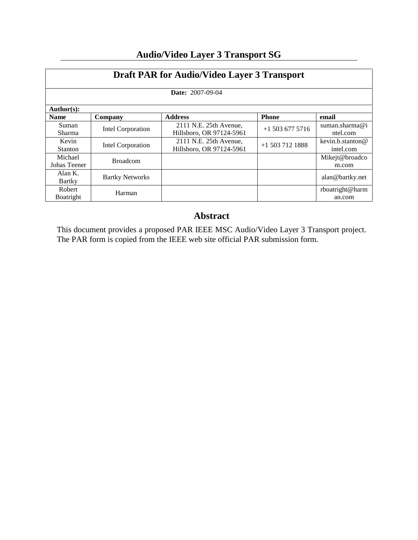| <b>Draft PAR for Audio/Video Layer 3 Transport</b><br><b>Date: 2007-09-04</b> |                        |                                                    |                   |                               |  |
|-------------------------------------------------------------------------------|------------------------|----------------------------------------------------|-------------------|-------------------------------|--|
|                                                                               |                        |                                                    |                   |                               |  |
| <b>Name</b>                                                                   | Company                | <b>Address</b>                                     | <b>Phone</b>      | email                         |  |
| Suman<br>Sharma                                                               | Intel Corporation      | 2111 N.E. 25th Avenue,<br>Hillsboro, OR 97124-5961 | $+15036775716$    | suman.sharma@i<br>ntel.com    |  |
| Kevin<br><b>Stanton</b>                                                       | Intel Corporation      | 2111 N.E. 25th Avenue,<br>Hillsboro, OR 97124-5961 | $+1$ 503 712 1888 | kevin.b.stanton@<br>intel.com |  |
| Michael<br>Johas Teener                                                       | <b>Broadcom</b>        |                                                    |                   | Mikejt@broadco<br>m.com       |  |
| Alan $K$ .<br>Bartky                                                          | <b>Bartky Networks</b> |                                                    |                   | alan@bartky.net               |  |
| Robert<br>Boatright                                                           | Harman                 |                                                    |                   | rboatright@harm<br>an.com     |  |

# **Audio/Video Layer 3 Transport SG**

## **Abstract**

This document provides a proposed PAR IEEE MSC Audio/Video Layer 3 Transport project. The PAR form is copied from the IEEE web site official PAR submission form.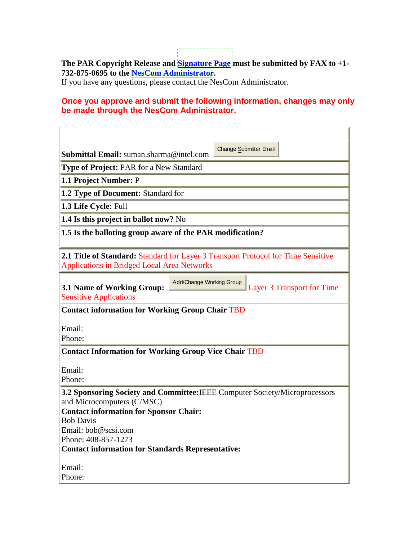**The PAR Copyright Release and [Signature Page](http://standards.ieee.org/guides/par/parsig.rtf) must be submitted by FAX to +1- 732-875-0695 to the [NesCom Administrator](http://standards.ieee.org/people/staff.html#hampton).**

If you have any questions, please contact the NesCom Administrator.

## **Once you approve and submit the following information, changes may only be made through the NesCom Administrator.**

| Submittal Email: suman.sharma@intel.com                                                                                                                    | <b>Change Submitter Email</b> |  |  |  |  |
|------------------------------------------------------------------------------------------------------------------------------------------------------------|-------------------------------|--|--|--|--|
| <b>Type of Project: PAR for a New Standard</b>                                                                                                             |                               |  |  |  |  |
| 1.1 Project Number: P                                                                                                                                      |                               |  |  |  |  |
| 1.2 Type of Document: Standard for                                                                                                                         |                               |  |  |  |  |
| 1.3 Life Cycle: Full                                                                                                                                       |                               |  |  |  |  |
| 1.4 Is this project in ballot now? No                                                                                                                      |                               |  |  |  |  |
| 1.5 Is the balloting group aware of the PAR modification?                                                                                                  |                               |  |  |  |  |
| <b>2.1 Title of Standard: Standard for Layer 3 Transport Protocol for Time Sensitive</b><br><b>Applications in Bridged Local Area Networks</b>             |                               |  |  |  |  |
| Add/Change Working Group<br>3.1 Name of Working Group:<br>Layer 3 Transport for Time<br><b>Sensitive Applications</b>                                      |                               |  |  |  |  |
| <b>Contact information for Working Group Chair TBD</b>                                                                                                     |                               |  |  |  |  |
| Email:<br>Phone:                                                                                                                                           |                               |  |  |  |  |
| <b>Contact Information for Working Group Vice Chair TBD</b>                                                                                                |                               |  |  |  |  |
| Email:<br>Phone:                                                                                                                                           |                               |  |  |  |  |
| 3.2 Sponsoring Society and Committee: IEEE Computer Society/Microprocessors<br>and Microcomputers (C/MSC)<br><b>Contact information for Sponsor Chair:</b> |                               |  |  |  |  |
| <b>Bob Davis</b><br>Email: bob@scsi.com<br>Phone: 408-857-1273                                                                                             |                               |  |  |  |  |
| <b>Contact information for Standards Representative:</b>                                                                                                   |                               |  |  |  |  |
| Email:<br>Phone:                                                                                                                                           |                               |  |  |  |  |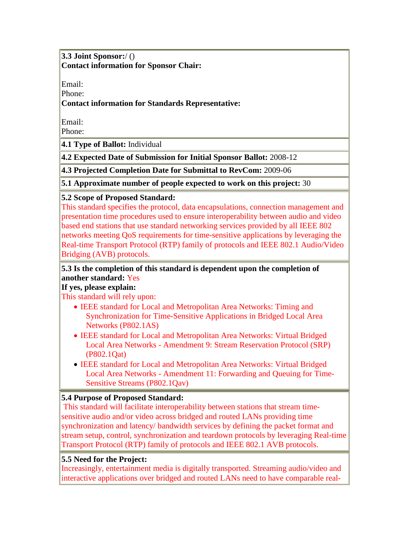**3.3 Joint Sponsor:**/ () **Contact information for Sponsor Chair:**

Email:

Phone:

## **Contact information for Standards Representative:**

Email:

Phone:

**4.1 Type of Ballot:** Individual

**4.2 Expected Date of Submission for Initial Sponsor Ballot:** 2008-12

**4.3 Projected Completion Date for Submittal to RevCom:** 2009-06

**5.1 Approximate number of people expected to work on this project:** 30

## **5.2 Scope of Proposed Standard:**

This standard specifies the protocol, data encapsulations, connection management and presentation time procedures used to ensure interoperability between audio and video based end stations that use standard networking services provided by all IEEE 802 networks meeting QoS requirements for time-sensitive applications by leveraging the Real-time Transport Protocol (RTP) family of protocols and IEEE 802.1 Audio/Video Bridging (AVB) protocols.

## **5.3 Is the completion of this standard is dependent upon the completion of another standard:** Yes

## **If yes, please explain:**

This standard will rely upon:

- IEEE standard for Local and Metropolitan Area Networks: Timing and Synchronization for Time-Sensitive Applications in Bridged Local Area Networks (P802.1AS)
- IEEE standard for Local and Metropolitan Area Networks: Virtual Bridged Local Area Networks - Amendment 9: Stream Reservation Protocol (SRP) (P802.1Qat)
- IEEE standard for Local and Metropolitan Area Networks: Virtual Bridged Local Area Networks - Amendment 11: Forwarding and Queuing for Time-Sensitive Streams (P802.1Qav)

## **5.4 Purpose of Proposed Standard:**

This standard will facilitate interoperability between stations that stream timesensitive audio and/or video across bridged and routed LANs providing time synchronization and latency/ bandwidth services by defining the packet format and stream setup, control, synchronization and teardown protocols by leveraging Real-time Transport Protocol (RTP) family of protocols and IEEE 802.1 AVB protocols.

## **5.5 Need for the Project:**

Increasingly, entertainment media is digitally transported. Streaming audio/video and interactive applications over bridged and routed LANs need to have comparable real